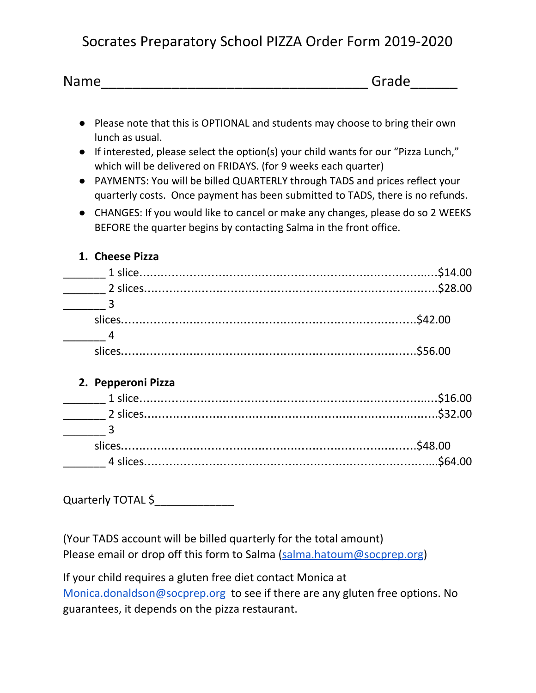## Socrates Preparatory School PIZZA Order Form 2019-2020

| <b>Name</b> | Grado<br>'uc |
|-------------|--------------|
|-------------|--------------|

- Please note that this is OPTIONAL and students may choose to bring their own lunch as usual.
- If interested, please select the option(s) your child wants for our "Pizza Lunch," which will be delivered on FRIDAYS. (for 9 weeks each quarter)
- PAYMENTS: You will be billed QUARTERLY through TADS and prices reflect your quarterly costs. Once payment has been submitted to TADS, there is no refunds.
- CHANGES: If you would like to cancel or make any changes, please do so 2 WEEKS BEFORE the quarter begins by contacting Salma in the front office.

## **1. Cheese Pizza**

| slices |  |
|--------|--|

## **2. Pepperoni Pizza**

Quarterly TOTAL \$\_\_\_\_\_\_\_\_\_\_\_\_\_

(Your TADS account will be billed quarterly for the total amount) Please email or drop off this form to Salma [\(salma.hatoum@socprep.org](mailto:salma.hatoum@socprep.org))

If your child requires a gluten free diet contact Monica at [Monica.donaldson@socprep.org](mailto:Monica.donaldson@socprep.org) to see if there are any gluten free options. No guarantees, it depends on the pizza restaurant.